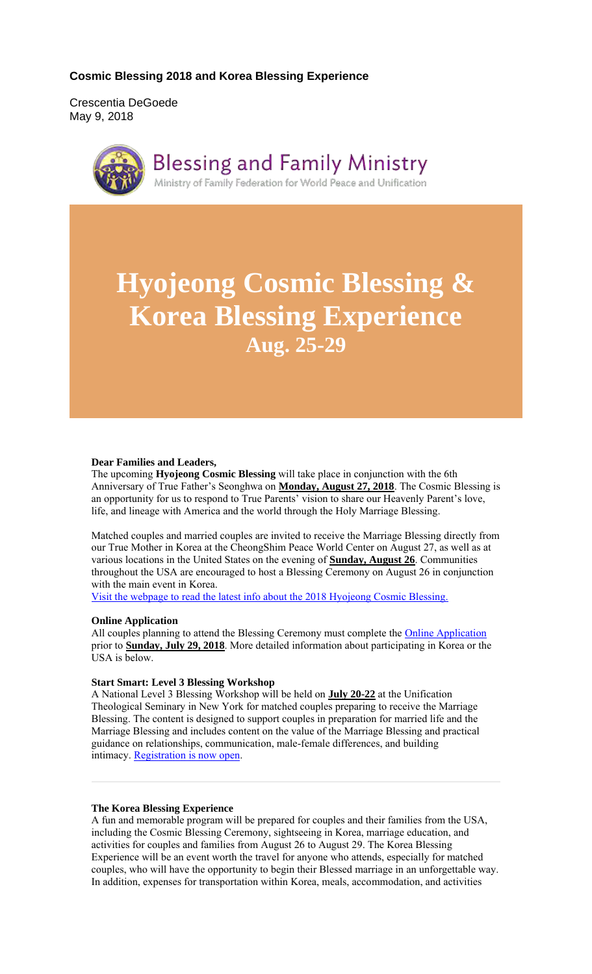## **Cosmic Blessing 2018 and Korea Blessing Experience**

Crescentia DeGoede May 9, 2018



**Blessing and Family Ministry** 

Ministry of Family Federation for World Peace and Unification

# **Hyojeong Cosmic Blessing & Korea Blessing Experience Aug. 25-29**

### **Dear Families and Leaders,**

The upcoming **Hyojeong Cosmic Blessing** will take place in conjunction with the 6th Anniversary of True Father's Seonghwa on **Monday, August 27, 2018**. The Cosmic Blessing is an opportunity for us to respond to True Parents' vision to share our Heavenly Parent's love, life, and lineage with America and the world through the Holy Marriage Blessing.

Matched couples and married couples are invited to receive the Marriage Blessing directly from our True Mother in Korea at the CheongShim Peace World Center on August 27, as well as at various locations in the United States on the evening of **Sunday, August 26**. Communities throughout the USA are encouraged to host a Blessing Ceremony on August 26 in conjunction with the main event in Korea.

Visit the webpage to read the latest info about the 2018 Hyojeong Cosmic Blessing.

## **Online Application**

All couples planning to attend the Blessing Ceremony must complete the Online Application prior to **Sunday, July 29, 2018**. More detailed information about participating in Korea or the USA is below.

## **Start Smart: Level 3 Blessing Workshop**

A National Level 3 Blessing Workshop will be held on **July 20-22** at the Unification Theological Seminary in New York for matched couples preparing to receive the Marriage Blessing. The content is designed to support couples in preparation for married life and the Marriage Blessing and includes content on the value of the Marriage Blessing and practical guidance on relationships, communication, male-female differences, and building intimacy. Registration is now open.

## **The Korea Blessing Experience**

A fun and memorable program will be prepared for couples and their families from the USA, including the Cosmic Blessing Ceremony, sightseeing in Korea, marriage education, and activities for couples and families from August 26 to August 29. The Korea Blessing Experience will be an event worth the travel for anyone who attends, especially for matched couples, who will have the opportunity to begin their Blessed marriage in an unforgettable way. In addition, expenses for transportation within Korea, meals, accommodation, and activities